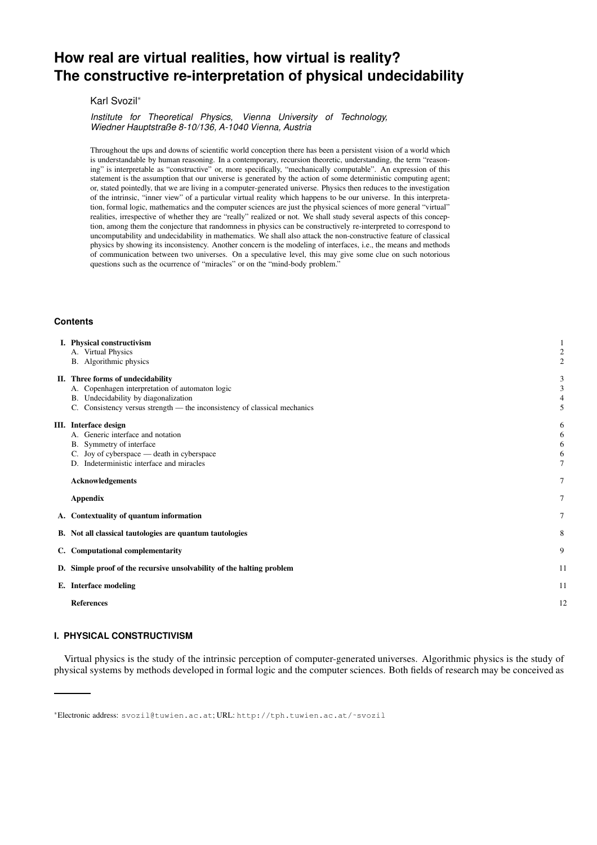# **How real are virtual realities, how virtual is reality? The constructive re-interpretation of physical undecidability**

## Karl Svozil∗

#### *Institute for Theoretical Physics, Vienna University of Technology, Wiedner Hauptstraße 8-10/136, A-1040 Vienna, Austria*

Throughout the ups and downs of scientific world conception there has been a persistent vision of a world which is understandable by human reasoning. In a contemporary, recursion theoretic, understanding, the term "reasoning" is interpretable as "constructive" or, more specifically, "mechanically computable". An expression of this statement is the assumption that our universe is generated by the action of some deterministic computing agent; or, stated pointedly, that we are living in a computer-generated universe. Physics then reduces to the investigation of the intrinsic, "inner view" of a particular virtual reality which happens to be our universe. In this interpretation, formal logic, mathematics and the computer sciences are just the physical sciences of more general "virtual" realities, irrespective of whether they are "really" realized or not. We shall study several aspects of this conception, among them the conjecture that randomness in physics can be constructively re-interpreted to correspond to uncomputability and undecidability in mathematics. We shall also attack the non-constructive feature of classical physics by showing its inconsistency. Another concern is the modeling of interfaces, i.e., the means and methods of communication between two universes. On a speculative level, this may give some clue on such notorious questions such as the ocurrence of "miracles" or on the "mind-body problem."

## **Contents**

| I. Physical constructivism<br>A. Virtual Physics<br>B. Algorithmic physics                                                                                                                                | $\overline{\mathbf{c}}$<br>$\mathfrak{2}$ |
|-----------------------------------------------------------------------------------------------------------------------------------------------------------------------------------------------------------|-------------------------------------------|
| II. Three forms of undecidability<br>A. Copenhagen interpretation of automaton logic<br>B. Undecidability by diagonalization<br>C. Consistency versus strength — the inconsistency of classical mechanics | 3<br>3<br>4<br>5                          |
| III. Interface design<br>A. Generic interface and notation<br>B. Symmetry of interface<br>Joy of cyberspace — death in cyberspace<br>D. Indeterministic interface and miracles                            | 6<br>6<br>6<br>6<br>7                     |
| <b>Acknowledgements</b>                                                                                                                                                                                   | 7                                         |
| <b>Appendix</b>                                                                                                                                                                                           | 7                                         |
| A. Contextuality of quantum information                                                                                                                                                                   | 7                                         |
| B. Not all classical tautologies are quantum tautologies                                                                                                                                                  | 8                                         |
| C. Computational complementarity                                                                                                                                                                          | 9                                         |
| D. Simple proof of the recursive unsolvability of the halting problem                                                                                                                                     | 11                                        |
| E. Interface modeling                                                                                                                                                                                     | 11                                        |
| <b>References</b>                                                                                                                                                                                         | 12                                        |
|                                                                                                                                                                                                           |                                           |

# **I. PHYSICAL CONSTRUCTIVISM**

Virtual physics is the study of the intrinsic perception of computer-generated universes. Algorithmic physics is the study of physical systems by methods developed in formal logic and the computer sciences. Both fields of research may be conceived as

<sup>∗</sup>Electronic address: svozil@tuwien.ac.at; URL: http://tph.tuwien.ac.at/˜svozil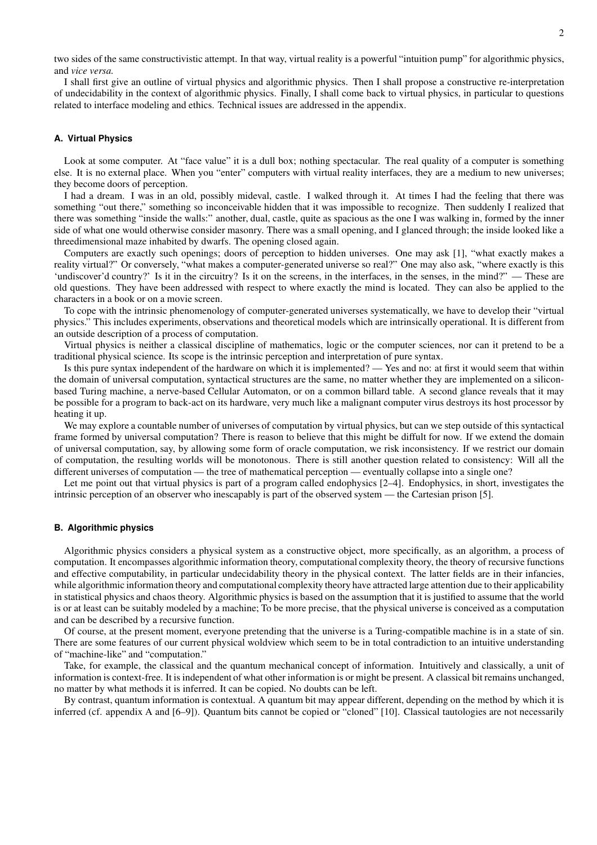two sides of the same constructivistic attempt. In that way, virtual reality is a powerful "intuition pump" for algorithmic physics, and *vice versa.*

I shall first give an outline of virtual physics and algorithmic physics. Then I shall propose a constructive re-interpretation of undecidability in the context of algorithmic physics. Finally, I shall come back to virtual physics, in particular to questions related to interface modeling and ethics. Technical issues are addressed in the appendix.

## **A. Virtual Physics**

Look at some computer. At "face value" it is a dull box; nothing spectacular. The real quality of a computer is something else. It is no external place. When you "enter" computers with virtual reality interfaces, they are a medium to new universes; they become doors of perception.

I had a dream. I was in an old, possibly mideval, castle. I walked through it. At times I had the feeling that there was something "out there," something so inconceivable hidden that it was impossible to recognize. Then suddenly I realized that there was something "inside the walls:" another, dual, castle, quite as spacious as the one I was walking in, formed by the inner side of what one would otherwise consider masonry. There was a small opening, and I glanced through; the inside looked like a threedimensional maze inhabited by dwarfs. The opening closed again.

Computers are exactly such openings; doors of perception to hidden universes. One may ask [1], "what exactly makes a reality virtual?" Or conversely, "what makes a computer-generated universe so real?" One may also ask, "where exactly is this 'undiscover'd country?' Is it in the circuitry? Is it on the screens, in the interfaces, in the senses, in the mind?" — These are old questions. They have been addressed with respect to where exactly the mind is located. They can also be applied to the characters in a book or on a movie screen.

To cope with the intrinsic phenomenology of computer-generated universes systematically, we have to develop their "virtual physics." This includes experiments, observations and theoretical models which are intrinsically operational. It is different from an outside description of a process of computation.

Virtual physics is neither a classical discipline of mathematics, logic or the computer sciences, nor can it pretend to be a traditional physical science. Its scope is the intrinsic perception and interpretation of pure syntax.

Is this pure syntax independent of the hardware on which it is implemented? — Yes and no: at first it would seem that within the domain of universal computation, syntactical structures are the same, no matter whether they are implemented on a siliconbased Turing machine, a nerve-based Cellular Automaton, or on a common billard table. A second glance reveals that it may be possible for a program to back-act on its hardware, very much like a malignant computer virus destroys its host processor by heating it up.

We may explore a countable number of universes of computation by virtual physics, but can we step outside of this syntactical frame formed by universal computation? There is reason to believe that this might be diffult for now. If we extend the domain of universal computation, say, by allowing some form of oracle computation, we risk inconsistency. If we restrict our domain of computation, the resulting worlds will be monotonous. There is still another question related to consistency: Will all the different universes of computation — the tree of mathematical perception — eventually collapse into a single one?

Let me point out that virtual physics is part of a program called endophysics [2–4]. Endophysics, in short, investigates the intrinsic perception of an observer who inescapably is part of the observed system — the Cartesian prison [5].

#### **B. Algorithmic physics**

Algorithmic physics considers a physical system as a constructive object, more specifically, as an algorithm, a process of computation. It encompasses algorithmic information theory, computational complexity theory, the theory of recursive functions and effective computability, in particular undecidability theory in the physical context. The latter fields are in their infancies, while algorithmic information theory and computational complexity theory have attracted large attention due to their applicability in statistical physics and chaos theory. Algorithmic physics is based on the assumption that it is justified to assume that the world is or at least can be suitably modeled by a machine; To be more precise, that the physical universe is conceived as a computation and can be described by a recursive function.

Of course, at the present moment, everyone pretending that the universe is a Turing-compatible machine is in a state of sin. There are some features of our current physical woldview which seem to be in total contradiction to an intuitive understanding of "machine-like" and "computation."

Take, for example, the classical and the quantum mechanical concept of information. Intuitively and classically, a unit of information is context-free. It is independent of what other information is or might be present. A classical bit remains unchanged, no matter by what methods it is inferred. It can be copied. No doubts can be left.

By contrast, quantum information is contextual. A quantum bit may appear different, depending on the method by which it is inferred (cf. appendix A and [6–9]). Quantum bits cannot be copied or "cloned" [10]. Classical tautologies are not necessarily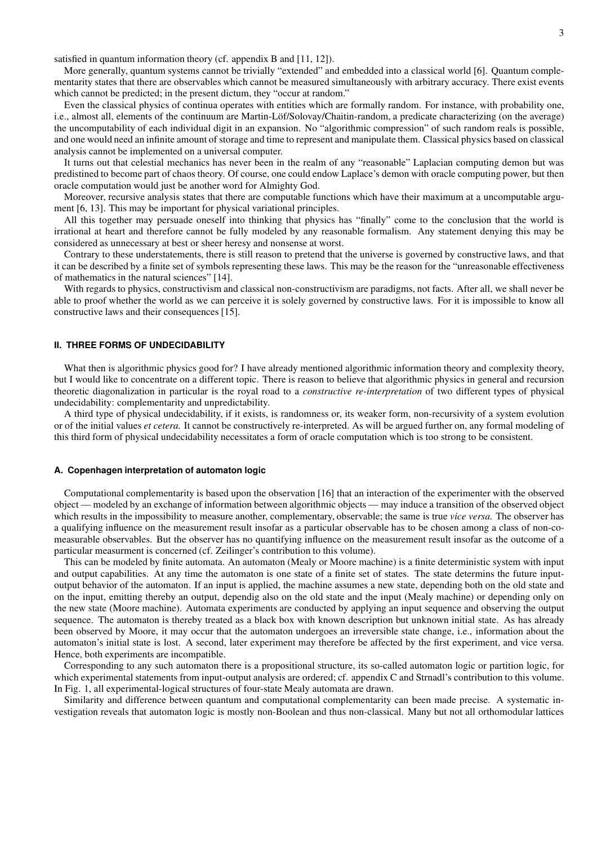satisfied in quantum information theory (cf. appendix B and [11, 12]).

More generally, quantum systems cannot be trivially "extended" and embedded into a classical world [6]. Quantum complementarity states that there are observables which cannot be measured simultaneously with arbitrary accuracy. There exist events which cannot be predicted; in the present dictum, they "occur at random."

Even the classical physics of continua operates with entities which are formally random. For instance, with probability one, i.e., almost all, elements of the continuum are Martin-Löf/Solovay/Chaitin-random, a predicate characterizing (on the average) the uncomputability of each individual digit in an expansion. No "algorithmic compression" of such random reals is possible, and one would need an infinite amount of storage and time to represent and manipulate them. Classical physics based on classical analysis cannot be implemented on a universal computer.

It turns out that celestial mechanics has never been in the realm of any "reasonable" Laplacian computing demon but was predistined to become part of chaos theory. Of course, one could endow Laplace's demon with oracle computing power, but then oracle computation would just be another word for Almighty God.

Moreover, recursive analysis states that there are computable functions which have their maximum at a uncomputable argument [6, 13]. This may be important for physical variational principles.

All this together may persuade oneself into thinking that physics has "finally" come to the conclusion that the world is irrational at heart and therefore cannot be fully modeled by any reasonable formalism. Any statement denying this may be considered as unnecessary at best or sheer heresy and nonsense at worst.

Contrary to these understatements, there is still reason to pretend that the universe is governed by constructive laws, and that it can be described by a finite set of symbols representing these laws. This may be the reason for the "unreasonable effectiveness of mathematics in the natural sciences" [14].

With regards to physics, constructivism and classical non-constructivism are paradigms, not facts. After all, we shall never be able to proof whether the world as we can perceive it is solely governed by constructive laws. For it is impossible to know all constructive laws and their consequences [15].

## **II. THREE FORMS OF UNDECIDABILITY**

What then is algorithmic physics good for? I have already mentioned algorithmic information theory and complexity theory, but I would like to concentrate on a different topic. There is reason to believe that algorithmic physics in general and recursion theoretic diagonalization in particular is the royal road to a *constructive re-interpretation* of two different types of physical undecidability: complementarity and unpredictability.

A third type of physical undecidability, if it exists, is randomness or, its weaker form, non-recursivity of a system evolution or of the initial values *et cetera.* It cannot be constructively re-interpreted. As will be argued further on, any formal modeling of this third form of physical undecidability necessitates a form of oracle computation which is too strong to be consistent.

#### **A. Copenhagen interpretation of automaton logic**

Computational complementarity is based upon the observation [16] that an interaction of the experimenter with the observed object — modeled by an exchange of information between algorithmic objects — may induce a transition of the observed object which results in the impossibility to measure another, complementary, observable; the same is true *vice versa.* The observer has a qualifying influence on the measurement result insofar as a particular observable has to be chosen among a class of non-comeasurable observables. But the observer has no quantifying influence on the measurement result insofar as the outcome of a particular measurment is concerned (cf. Zeilinger's contribution to this volume).

This can be modeled by finite automata. An automaton (Mealy or Moore machine) is a finite deterministic system with input and output capabilities. At any time the automaton is one state of a finite set of states. The state determins the future inputoutput behavior of the automaton. If an input is applied, the machine assumes a new state, depending both on the old state and on the input, emitting thereby an output, dependig also on the old state and the input (Mealy machine) or depending only on the new state (Moore machine). Automata experiments are conducted by applying an input sequence and observing the output sequence. The automaton is thereby treated as a black box with known description but unknown initial state. As has already been observed by Moore, it may occur that the automaton undergoes an irreversible state change, i.e., information about the automaton's initial state is lost. A second, later experiment may therefore be affected by the first experiment, and vice versa. Hence, both experiments are incompatible.

Corresponding to any such automaton there is a propositional structure, its so-called automaton logic or partition logic, for which experimental statements from input-output analysis are ordered; cf. appendix C and Strnadl's contribution to this volume. In Fig. 1, all experimental-logical structures of four-state Mealy automata are drawn.

Similarity and difference between quantum and computational complementarity can been made precise. A systematic investigation reveals that automaton logic is mostly non-Boolean and thus non-classical. Many but not all orthomodular lattices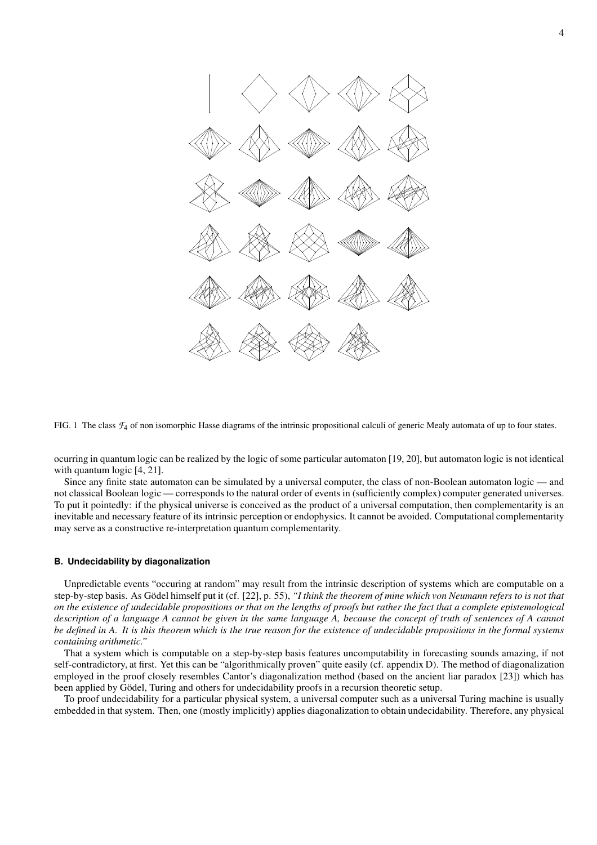

FIG. 1 The class  $\mathcal{F}_4$  of non isomorphic Hasse diagrams of the intrinsic propositional calculi of generic Mealy automata of up to four states.

ocurring in quantum logic can be realized by the logic of some particular automaton [19, 20], but automaton logic is not identical with quantum logic [4, 21].

Since any finite state automaton can be simulated by a universal computer, the class of non-Boolean automaton logic — and not classical Boolean logic — corresponds to the natural order of events in (sufficiently complex) computer generated universes. To put it pointedly: if the physical universe is conceived as the product of a universal computation, then complementarity is an inevitable and necessary feature of its intrinsic perception or endophysics. It cannot be avoided. Computational complementarity may serve as a constructive re-interpretation quantum complementarity.

### **B. Undecidability by diagonalization**

Unpredictable events "occuring at random" may result from the intrinsic description of systems which are computable on a step-by-step basis. As Gödel himself put it (cf. [22], p. 55), *"I think the theorem of mine which von Neumann refers to is not that on the existence of undecidable propositions or that on the lengths of proofs but rather the fact that a complete epistemological description of a language A cannot be given in the same language A, because the concept of truth of sentences of A cannot be defined in A. It is this theorem which is the true reason for the existence of undecidable propositions in the formal systems containing arithmetic."*

That a system which is computable on a step-by-step basis features uncomputability in forecasting sounds amazing, if not self-contradictory, at first. Yet this can be "algorithmically proven" quite easily (cf. appendix D). The method of diagonalization employed in the proof closely resembles Cantor's diagonalization method (based on the ancient liar paradox [23]) which has been applied by Gödel, Turing and others for undecidability proofs in a recursion theoretic setup.

To proof undecidability for a particular physical system, a universal computer such as a universal Turing machine is usually embedded in that system. Then, one (mostly implicitly) applies diagonalization to obtain undecidability. Therefore, any physical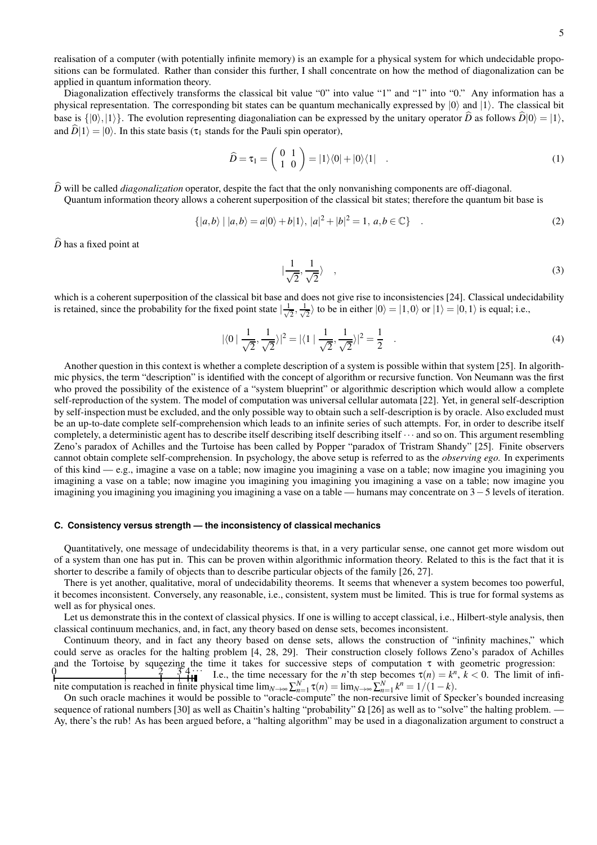realisation of a computer (with potentially infinite memory) is an example for a physical system for which undecidable propositions can be formulated. Rather than consider this further, I shall concentrate on how the method of diagonalization can be applied in quantum information theory.

Diagonalization effectively transforms the classical bit value "0" into value "1" and "1" into "0." Any information has a physical representation. The corresponding bit states can be quantum mechanically expressed by  $|0\rangle$  and  $|1\rangle$ . The classical bit base is  $\{|0\rangle, |1\rangle\}$ . The evolution representing diagonaliation can be expressed by the unitary operator  $\hat{D}$  as follows  $\hat{D}|0\rangle = |1\rangle$ . and  $\hat{D}|1\rangle = |0\rangle$ . In this state basis ( $\tau_1$  stands for the Pauli spin operator),

$$
\widehat{D} = \tau_1 = \begin{pmatrix} 0 & 1 \\ 1 & 0 \end{pmatrix} = |1\rangle\langle 0| + |0\rangle\langle 1| \quad . \tag{1}
$$

*D* will be called *diagonalization* operator, despite the fact that the only nonvanishing components are off-diagonal.

Quantum information theory allows a coherent superposition of the classical bit states; therefore the quantum bit base is

$$
\{|a,b\rangle \mid |a,b\rangle = a|0\rangle + b|1\rangle, |a|^2 + |b|^2 = 1, a,b \in \mathbb{C}\} \quad . \tag{2}
$$

 $\hat{D}$  has a fixed point at

$$
|\frac{1}{\sqrt{2}}, \frac{1}{\sqrt{2}}\rangle \quad , \tag{3}
$$

which is a coherent superposition of the classical bit base and does not give rise to inconsistencies [24]. Classical undecidability is retained, since the probability for the fixed point state  $\frac{1}{\sqrt{x}}$  $\frac{1}{2}, \frac{1}{\sqrt{2}}$  $\frac{1}{2}$  to be in either  $|0\rangle = |1,0\rangle$  or  $|1\rangle = |0,1\rangle$  is equal; i.e.,

$$
|\langle 0 \mid \frac{1}{\sqrt{2}}, \frac{1}{\sqrt{2}}\rangle|^2 = |\langle 1 \mid \frac{1}{\sqrt{2}}, \frac{1}{\sqrt{2}}\rangle|^2 = \frac{1}{2} . \tag{4}
$$

Another question in this context is whether a complete description of a system is possible within that system [25]. In algorithmic physics, the term "description" is identified with the concept of algorithm or recursive function. Von Neumann was the first who proved the possibility of the existence of a "system blueprint" or algorithmic description which would allow a complete self-reproduction of the system. The model of computation was universal cellular automata [22]. Yet, in general self-description by self-inspection must be excluded, and the only possible way to obtain such a self-description is by oracle. Also excluded must be an up-to-date complete self-comprehension which leads to an infinite series of such attempts. For, in order to describe itself completely, a deterministic agent has to describe itself describing itself describing itself  $\cdots$  and so on. This argument resembling Zeno's paradox of Achilles and the Turtoise has been called by Popper "paradox of Tristram Shandy" [25]. Finite observers cannot obtain complete self-comprehension. In psychology, the above setup is referred to as the *observing ego.* In experiments of this kind — e.g., imagine a vase on a table; now imagine you imagining a vase on a table; now imagine you imagining you imagining a vase on a table; now imagine you imagining you imagining you imagining a vase on a table; now imagine you imagining you imagining you imagining you imagining a vase on a table — humans may concentrate on 3−5 levels of iteration.

#### **C. Consistency versus strength — the inconsistency of classical mechanics**

Quantitatively, one message of undecidability theorems is that, in a very particular sense, one cannot get more wisdom out of a system than one has put in. This can be proven within algorithmic information theory. Related to this is the fact that it is shorter to describe a family of objects than to describe particular objects of the family [26, 27].

There is yet another, qualitative, moral of undecidability theorems. It seems that whenever a system becomes too powerful, it becomes inconsistent. Conversely, any reasonable, i.e., consistent, system must be limited. This is true for formal systems as well as for physical ones.

Let us demonstrate this in the context of classical physics. If one is willing to accept classical, i.e., Hilbert-style analysis, then classical continuum mechanics, and, in fact, any theory based on dense sets, becomes inconsistent.

Continuum theory, and in fact any theory based on dense sets, allows the construction of "infinity machines," which could serve as oracles for the halting problem [4, 28, 29]. Their construction closely follows Zeno's paradox of Achilles and the Tortoise by squeezing the time it takes for successive steps of computation  $\tau$  with geometric progression:  $\begin{bmatrix} 0 & 1 & 2 & 3 & 4 & \cdots \\ 1 & 1 & 2 & 3 & \cdots \\ 1 & 1 & 1 & 1 & \cdots \end{bmatrix}$  I.e., the time necessary for the *n*'th step becomes  $\tau(n) = k^n$ ,  $k < 0$ . The limit of infi-

nite computation is reached in finite physical time  $\lim_{N\to\infty} \sum_{n=1}^{N} \tau(n) = \lim_{N\to\infty} \sum_{n=1}^{N} k^n = 1/(1-k)$ .

On such oracle machines it would be possible to "oracle-compute" the non-recursive limit of Specker's bounded increasing sequence of rational numbers [30] as well as Chaitin's halting "probability" Ω [26] as well as to "solve" the halting problem. -Ay, there's the rub! As has been argued before, a "halting algorithm" may be used in a diagonalization argument to construct a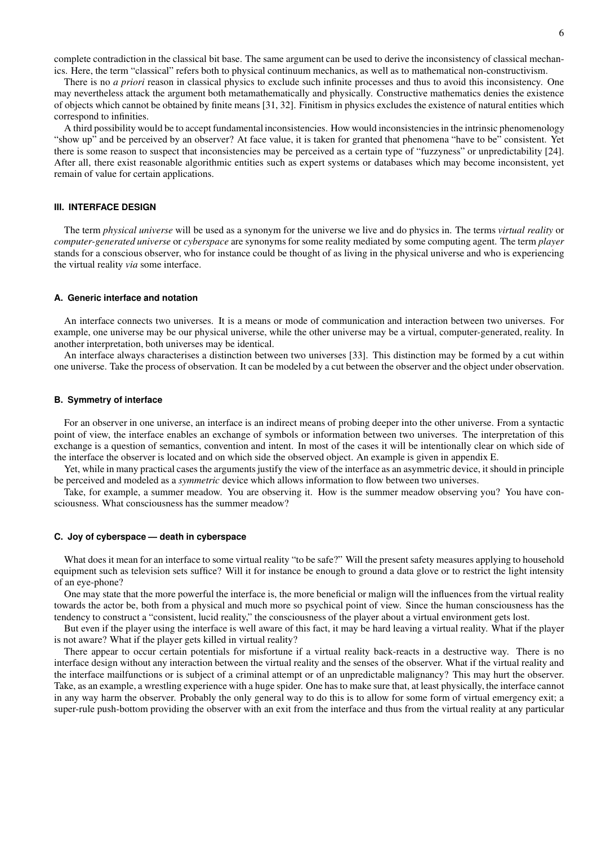complete contradiction in the classical bit base. The same argument can be used to derive the inconsistency of classical mechanics. Here, the term "classical" refers both to physical continuum mechanics, as well as to mathematical non-constructivism.

There is no *a priori* reason in classical physics to exclude such infinite processes and thus to avoid this inconsistency. One may nevertheless attack the argument both metamathematically and physically. Constructive mathematics denies the existence of objects which cannot be obtained by finite means [31, 32]. Finitism in physics excludes the existence of natural entities which correspond to infinities.

A third possibility would be to accept fundamental inconsistencies. How would inconsistencies in the intrinsic phenomenology "show up" and be perceived by an observer? At face value, it is taken for granted that phenomena "have to be" consistent. Yet there is some reason to suspect that inconsistencies may be perceived as a certain type of "fuzzyness" or unpredictability [24]. After all, there exist reasonable algorithmic entities such as expert systems or databases which may become inconsistent, yet remain of value for certain applications.

#### **III. INTERFACE DESIGN**

The term *physical universe* will be used as a synonym for the universe we live and do physics in. The terms *virtual reality* or *computer-generated universe* or *cyberspace* are synonyms for some reality mediated by some computing agent. The term *player* stands for a conscious observer, who for instance could be thought of as living in the physical universe and who is experiencing the virtual reality *via* some interface.

#### **A. Generic interface and notation**

An interface connects two universes. It is a means or mode of communication and interaction between two universes. For example, one universe may be our physical universe, while the other universe may be a virtual, computer-generated, reality. In another interpretation, both universes may be identical.

An interface always characterises a distinction between two universes [33]. This distinction may be formed by a cut within one universe. Take the process of observation. It can be modeled by a cut between the observer and the object under observation.

#### **B. Symmetry of interface**

For an observer in one universe, an interface is an indirect means of probing deeper into the other universe. From a syntactic point of view, the interface enables an exchange of symbols or information between two universes. The interpretation of this exchange is a question of semantics, convention and intent. In most of the cases it will be intentionally clear on which side of the interface the observer is located and on which side the observed object. An example is given in appendix E.

Yet, while in many practical cases the arguments justify the view of the interface as an asymmetric device, it should in principle be perceived and modeled as a *symmetric* device which allows information to flow between two universes.

Take, for example, a summer meadow. You are observing it. How is the summer meadow observing you? You have consciousness. What consciousness has the summer meadow?

#### **C. Joy of cyberspace — death in cyberspace**

What does it mean for an interface to some virtual reality "to be safe?" Will the present safety measures applying to household equipment such as television sets suffice? Will it for instance be enough to ground a data glove or to restrict the light intensity of an eye-phone?

One may state that the more powerful the interface is, the more beneficial or malign will the influences from the virtual reality towards the actor be, both from a physical and much more so psychical point of view. Since the human consciousness has the tendency to construct a "consistent, lucid reality," the consciousness of the player about a virtual environment gets lost.

But even if the player using the interface is well aware of this fact, it may be hard leaving a virtual reality. What if the player is not aware? What if the player gets killed in virtual reality?

There appear to occur certain potentials for misfortune if a virtual reality back-reacts in a destructive way. There is no interface design without any interaction between the virtual reality and the senses of the observer. What if the virtual reality and the interface mailfunctions or is subject of a criminal attempt or of an unpredictable malignancy? This may hurt the observer. Take, as an example, a wrestling experience with a huge spider. One has to make sure that, at least physically, the interface cannot in any way harm the observer. Probably the only general way to do this is to allow for some form of virtual emergency exit; a super-rule push-bottom providing the observer with an exit from the interface and thus from the virtual reality at any particular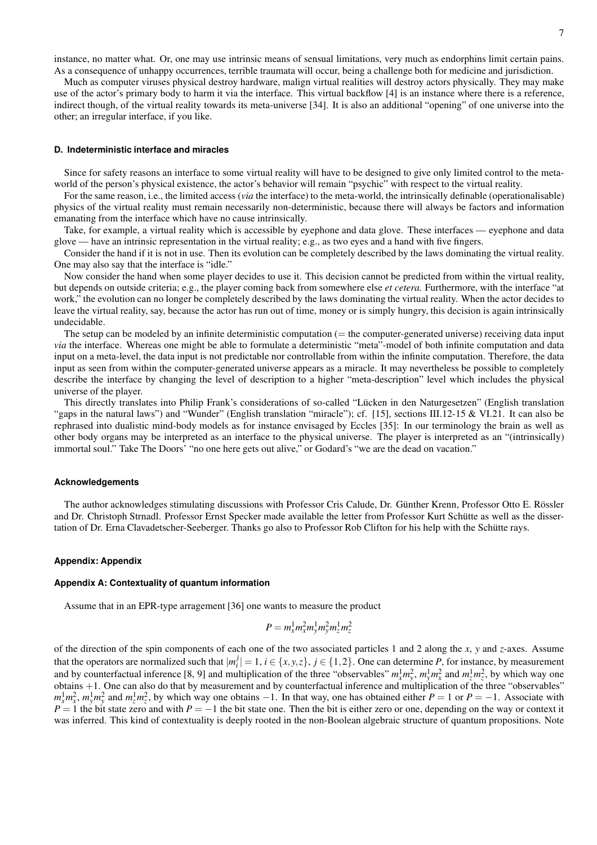instance, no matter what. Or, one may use intrinsic means of sensual limitations, very much as endorphins limit certain pains. As a consequence of unhappy occurrences, terrible traumata will occur, being a challenge both for medicine and jurisdiction.

Much as computer viruses physical destroy hardware, malign virtual realities will destroy actors physically. They may make use of the actor's primary body to harm it via the interface. This virtual backflow [4] is an instance where there is a reference, indirect though, of the virtual reality towards its meta-universe [34]. It is also an additional "opening" of one universe into the other; an irregular interface, if you like.

## **D. Indeterministic interface and miracles**

Since for safety reasons an interface to some virtual reality will have to be designed to give only limited control to the metaworld of the person's physical existence, the actor's behavior will remain "psychic" with respect to the virtual reality.

For the same reason, i.e., the limited access (*via* the interface) to the meta-world, the intrinsically definable (operationalisable) physics of the virtual reality must remain necessarily non-deterministic, because there will always be factors and information emanating from the interface which have no cause intrinsically.

Take, for example, a virtual reality which is accessible by eyephone and data glove. These interfaces — eyephone and data glove — have an intrinsic representation in the virtual reality; e.g., as two eyes and a hand with five fingers.

Consider the hand if it is not in use. Then its evolution can be completely described by the laws dominating the virtual reality. One may also say that the interface is "idle."

Now consider the hand when some player decides to use it. This decision cannot be predicted from within the virtual reality, but depends on outside criteria; e.g., the player coming back from somewhere else *et cetera.* Furthermore, with the interface "at work," the evolution can no longer be completely described by the laws dominating the virtual reality. When the actor decides to leave the virtual reality, say, because the actor has run out of time, money or is simply hungry, this decision is again intrinsically undecidable.

The setup can be modeled by an infinite deterministic computation  $(=$  the computer-generated universe) receiving data input *via* the interface. Whereas one might be able to formulate a deterministic "meta"-model of both infinite computation and data input on a meta-level, the data input is not predictable nor controllable from within the infinite computation. Therefore, the data input as seen from within the computer-generated universe appears as a miracle. It may nevertheless be possible to completely describe the interface by changing the level of description to a higher "meta-description" level which includes the physical universe of the player.

This directly translates into Philip Frank's considerations of so-called "Lücken in den Naturgesetzen" (English translation "gaps in the natural laws") and "Wunder" (English translation "miracle"); cf. [15], sections III.12-15 & VI.21. It can also be rephrased into dualistic mind-body models as for instance envisaged by Eccles [35]: In our terminology the brain as well as other body organs may be interpreted as an interface to the physical universe. The player is interpreted as an "(intrinsically) immortal soul." Take The Doors' "no one here gets out alive," or Godard's "we are the dead on vacation."

#### **Acknowledgements**

The author acknowledges stimulating discussions with Professor Cris Calude, Dr. Günther Krenn, Professor Otto E. Rössler and Dr. Christoph Strnadl. Professor Ernst Specker made available the letter from Professor Kurt Schütte as well as the dissertation of Dr. Erna Clavadetscher-Seeberger. Thanks go also to Professor Rob Clifton for his help with the Schütte rays.

#### **Appendix: Appendix**

## **Appendix A: Contextuality of quantum information**

Assume that in an EPR-type arragement [36] one wants to measure the product

$$
P = m_x^1 m_x^2 m_y^1 m_y^2 m_z^1 m_z^2
$$

of the direction of the spin components of each one of the two associated particles 1 and 2 along the *x*, *y* and *z*-axes. Assume that the operators are normalized such that  $|m_i^j| = 1$ ,  $i \in \{x, y, z\}$ ,  $j \in \{1, 2\}$ . One can determine *P*, for instance, by measurement and by counterfactual inference [8, 9] and multiplication of the three "observables"  $m_x^1 m_y^2$ ,  $m_y^1 m_x^2$  and  $m_z^1 m_z^2$ , by which way one obtains +1. One can also do that by measurement and by counterfactual inference and multiplication of the three "observables"  $m_x^1 m_x^2$ ,  $m_y^1 m_y^2$  and  $m_z^1 m_z^2$ , by which way one obtains -1. In that way, one has obtained either  $P = 1$  or  $P = -1$ . Associate with  $P = 1$  the bit state zero and with  $P = -1$  the bit state one. Then the bit is either zero or one, depending on the way or context it was inferred. This kind of contextuality is deeply rooted in the non-Boolean algebraic structure of quantum propositions. Note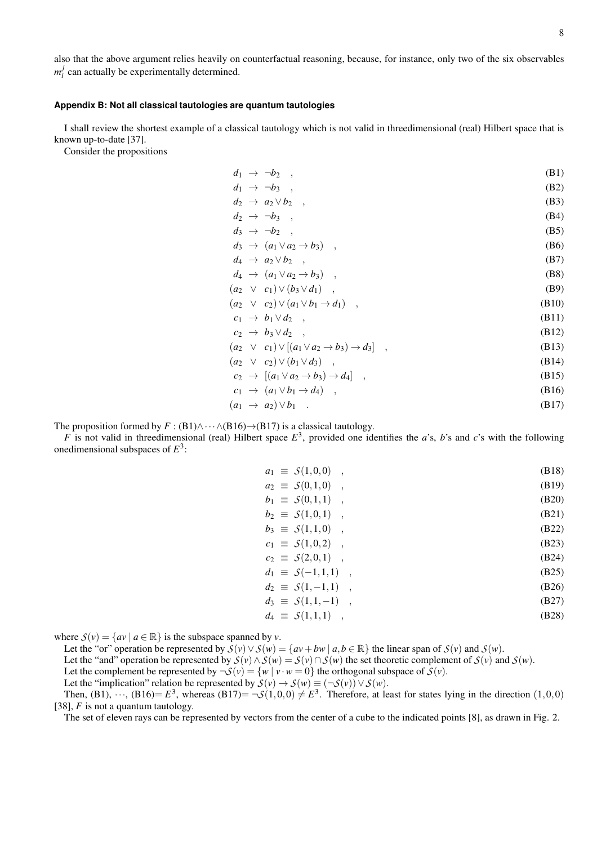also that the above argument relies heavily on counterfactual reasoning, because, for instance, only two of the six observables  $m_i^j$  can actually be experimentally determined.

## **Appendix B: Not all classical tautologies are quantum tautologies**

I shall review the shortest example of a classical tautology which is not valid in threedimensional (real) Hilbert space that is known up-to-date [37].

Consider the propositions

|  | $d_1 \rightarrow \neg b_2$ ,                                             | (B1)  |
|--|--------------------------------------------------------------------------|-------|
|  | $d_1 \rightarrow \neg b_3$ ,                                             | (B2)  |
|  | $d_2 \rightarrow a_2 \vee b_2$ ,                                         | (B3)  |
|  | $d_2 \rightarrow \neg b_3$ ,                                             | (B4)  |
|  | $d_3 \rightarrow \neg b_2$ ,                                             | (B5)  |
|  | $d_3 \rightarrow (a_1 \vee a_2 \rightarrow b_3)$ ,                       | (B6)  |
|  | $d_4 \rightarrow a_2 \vee b_2$                                           | (B7)  |
|  | $d_4 \rightarrow (a_1 \vee a_2 \rightarrow b_3)$ ,                       | (B8)  |
|  | $(a_2 \vee c_1) \vee (b_3 \vee d_1)$ ,                                   | (B9)  |
|  | $(a_2 \vee c_2) \vee (a_1 \vee b_1 \rightarrow d_1)$ ,                   | (B10) |
|  | $c_1 \rightarrow b_1 \vee d_2$ ,                                         | (B11) |
|  | $c_2 \rightarrow b_3 \vee d_2$ ,                                         | (B12) |
|  | $(a_2 \vee c_1) \vee [(a_1 \vee a_2 \rightarrow b_3) \rightarrow d_3]$ , | (B13) |
|  | $(a_2 \vee c_2) \vee (b_1 \vee d_3)$ ,                                   | (B14) |
|  | $c_2 \rightarrow [(a_1 \vee a_2 \rightarrow b_3) \rightarrow d_4]$ ,     | (B15) |
|  | $c_1 \rightarrow (a_1 \vee b_1 \rightarrow d_4)$ ,                       | (B16) |
|  | $(a_1 \rightarrow a_2) \vee b_1$ .                                       | (B17) |
|  |                                                                          |       |

The proposition formed by  $F : (B1) \wedge \cdots \wedge (B16) \rightarrow (B17)$  is a classical tautology.

*F* is not valid in threedimensional (real) Hilbert space  $E^3$ , provided one identifies the *a*'s, *b*'s and *c*'s with the following onedimensional subspaces of  $E^3$ :

| $a_1 \equiv \mathcal{S}(1,0,0)$   | (B18) |
|-----------------------------------|-------|
| $a_2 \equiv S(0,1,0)$ ,           | (B19) |
| $b_1 \equiv S(0,1,1)$ ,           | (B20) |
| $b_2 \equiv S(1,0,1)$ ,           | (B21) |
| $b_3 \equiv S(1,1,0)$ ,           | (B22) |
| $c_1 \equiv S(1,0,2)$ ,           | (B23) |
| $c_2 \equiv S(2,0,1)$ ,           | (B24) |
| $d_1 \equiv S(-1,1,1)$ ,          | (B25) |
| $d_2 \equiv S(1,-1,1)$ ,          | (B26) |
| $d_3 \equiv S(1,1,-1)$ ,          | (B27) |
| $d_4 \equiv \mathcal{S}(1,1,1)$ , | (B28) |
|                                   |       |

where  $S(v) = \{av \mid a \in \mathbb{R}\}\$  is the subspace spanned by *v*.

Let the "or" operation be represented by  $S(v) \vee S(w) = \{ av + bw \mid a, b \in \mathbb{R} \}$  the linear span of  $S(v)$  and  $S(w)$ .

Let the "and" operation be represented by  $S(v) \wedge S(w) = S(v) \cap S(w)$  the set theoretic complement of  $S(v)$  and  $S(w)$ .

Let the complement be represented by  $\neg S(v) = \{w \mid v \cdot w = 0\}$  the orthogonal subspace of  $S(v)$ .

Let the "implication" relation be represented by  $S(v) \to S(w) \equiv (\neg S(v)) \lor S(w)$ .

Then, (B1),  $\cdots$ , (B16)=  $E^3$ , whereas (B17)=  $\neg$ S(1,0,0)  $\not= E^3$ . Therefore, at least for states lying in the direction (1,0,0) [38], *F* is not a quantum tautology.

The set of eleven rays can be represented by vectors from the center of a cube to the indicated points [8], as drawn in Fig. 2.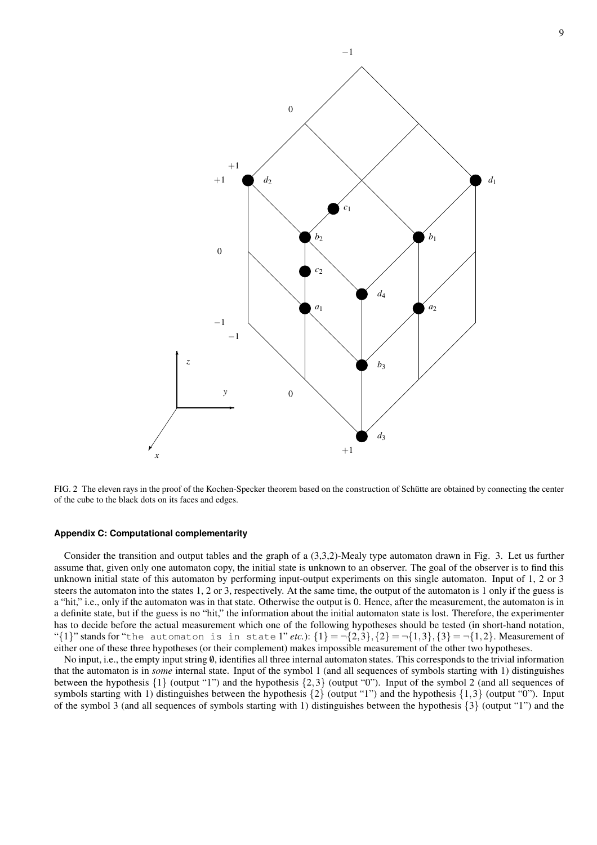

FIG. 2 The eleven rays in the proof of the Kochen-Specker theorem based on the construction of Schütte are obtained by connecting the center of the cube to the black dots on its faces and edges.

## **Appendix C: Computational complementarity**

Consider the transition and output tables and the graph of a (3,3,2)-Mealy type automaton drawn in Fig. 3. Let us further assume that, given only one automaton copy, the initial state is unknown to an observer. The goal of the observer is to find this unknown initial state of this automaton by performing input-output experiments on this single automaton. Input of 1, 2 or 3 steers the automaton into the states 1, 2 or 3, respectively. At the same time, the output of the automaton is 1 only if the guess is a "hit," i.e., only if the automaton was in that state. Otherwise the output is 0. Hence, after the measurement, the automaton is in a definite state, but if the guess is no "hit," the information about the initial automaton state is lost. Therefore, the experimenter has to decide before the actual measurement which one of the following hypotheses should be tested (in short-hand notation, "{1}" stands for "the automaton is in state 1" *etc.*):  $\{1\} = \{-\{2,3\},\{2\} = -\{1,3\},\{3\} = -\{1,2\}$ . Measurement of either one of these three hypotheses (or their complement) makes impossible measurement of the other two hypotheses.

No input, i.e., the empty input string  $\emptyset$ , identifies all three internal automaton states. This corresponds to the trivial information that the automaton is in *some* internal state. Input of the symbol 1 (and all sequences of symbols starting with 1) distinguishes between the hypothesis  $\{1\}$  (output "1") and the hypothesis  $\{2,3\}$  (output "0"). Input of the symbol 2 (and all sequences of symbols starting with 1) distinguishes between the hypothesis {2} (output "1") and the hypothesis {1,3} (output "0"). Input of the symbol 3 (and all sequences of symbols starting with 1) distinguishes between the hypothesis  $\{3\}$  (output "1") and the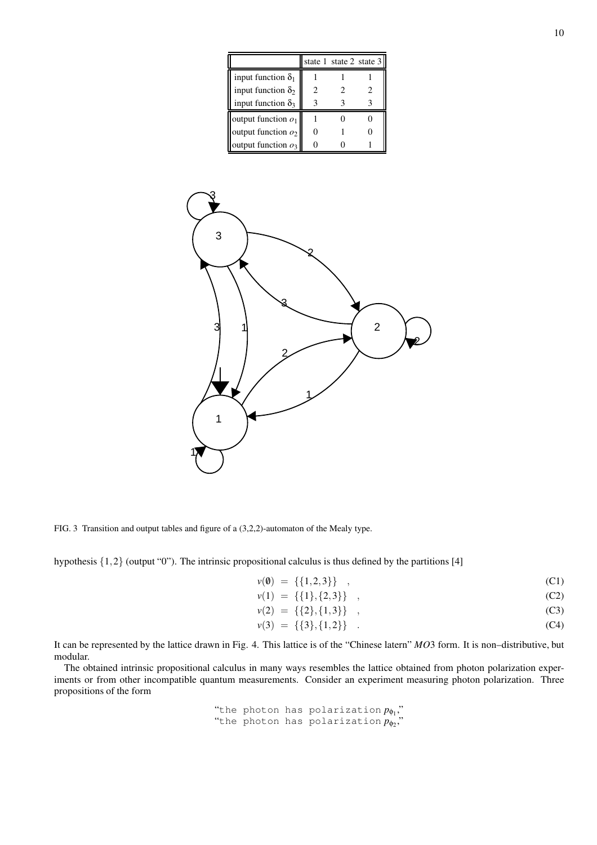|                           |  | state 1 state 2 state 3 |
|---------------------------|--|-------------------------|
| input function $\delta_1$ |  |                         |
| input function $\delta_2$ |  |                         |
| input function $\delta_3$ |  |                         |
| output function $o_1$     |  |                         |
| output function $o_2$     |  |                         |
| output function $o_3$     |  |                         |



FIG. 3 Transition and output tables and figure of a (3,2,2)-automaton of the Mealy type.

hypothesis  $\{1,2\}$  (output "0"). The intrinsic propositional calculus is thus defined by the partitions [4]

| $v(\emptyset) = \{\{1,2,3\}\}\; ,$ | (C1) |
|------------------------------------|------|
|                                    |      |

| $v(1) = \{\{1\},\{2,3\}\}\; ,$ |  | (C2)   |
|--------------------------------|--|--------|
| $(6.2)$ $(4.2)$                |  | $\sim$ |

$$
v(2) = \{\{2\}, \{1,3\}\} , \tag{C3}
$$
  

$$
v(3) = \{\{3\}, \{1,2\}\} . \tag{C4}
$$

$$
V(J) = \iint J f_1 I_2 f f \qquad (C+1)
$$

It can be represented by the lattice drawn in Fig. 4. This lattice is of the "Chinese latern" *MO*3 form. It is non–distributive, but modular.

The obtained intrinsic propositional calculus in many ways resembles the lattice obtained from photon polarization experiments or from other incompatible quantum measurements. Consider an experiment measuring photon polarization. Three propositions of the form

> "the photon has polarization  $p_{\phi_1}$ ", "the photon has polarization  $p_{\phi_2}$ ",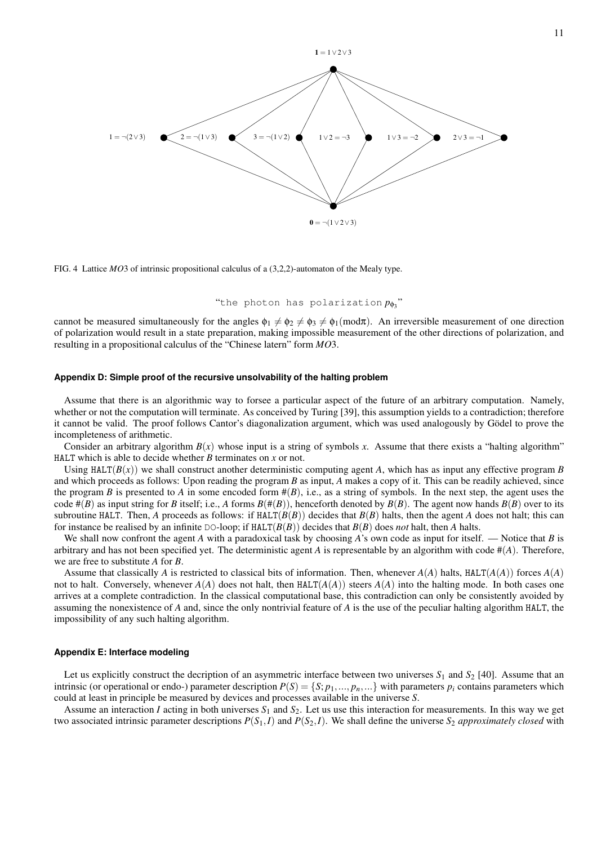

FIG. 4 Lattice *MO*3 of intrinsic propositional calculus of a (3,2,2)-automaton of the Mealy type.

# "the photon has polarization  $p_{\phi_3}$ "

cannot be measured simultaneously for the angles  $\phi_1 \neq \phi_2 \neq \phi_3 \neq \phi_1 \text{ (mod } \pi)$ . An irreversible measurement of one direction of polarization would result in a state preparation, making impossible measurement of the other directions of polarization, and resulting in a propositional calculus of the "Chinese latern" form *MO*3.

## **Appendix D: Simple proof of the recursive unsolvability of the halting problem**

Assume that there is an algorithmic way to forsee a particular aspect of the future of an arbitrary computation. Namely, whether or not the computation will terminate. As conceived by Turing [39], this assumption yields to a contradiction; therefore it cannot be valid. The proof follows Cantor's diagonalization argument, which was used analogously by Gödel to prove the incompleteness of arithmetic.

Consider an arbitrary algorithm  $B(x)$  whose input is a string of symbols x. Assume that there exists a "halting algorithm" HALT which is able to decide whether *B* terminates on *x* or not.

Using  $HALT(B(x))$  we shall construct another deterministic computing agent *A*, which has as input any effective program *B* and which proceeds as follows: Upon reading the program *B* as input, *A* makes a copy of it. This can be readily achieved, since the program *B* is presented to *A* in some encoded form  $\#(B)$ , i.e., as a string of symbols. In the next step, the agent uses the code  $#(B)$  as input string for *B* itself; i.e., *A* forms  $B(H(B))$ , henceforth denoted by  $B(B)$ . The agent now hands  $B(B)$  over to its subroutine HALT. Then, *A* proceeds as follows: if HALT( $B(B)$ ) decides that  $B(B)$  halts, then the agent *A* does not halt; this can for instance be realised by an infinite DO-loop; if  $HALT(B(B))$  decides that  $B(B)$  does *not* halt, then *A* halts.

We shall now confront the agent *A* with a paradoxical task by choosing *A*'s own code as input for itself. — Notice that *B* is arbitrary and has not been specified yet. The deterministic agent *A* is representable by an algorithm with code  $#(A)$ . Therefore, we are free to substitute *A* for *B*.

Assume that classically *A* is restricted to classical bits of information. Then, whenever  $A(A)$  halts,  $HALT(A(A))$  forces  $A(A)$ not to halt. Conversely, whenever  $A(A)$  does not halt, then  $HALT(A(A))$  steers  $A(A)$  into the halting mode. In both cases one arrives at a complete contradiction. In the classical computational base, this contradiction can only be consistently avoided by assuming the nonexistence of *A* and, since the only nontrivial feature of *A* is the use of the peculiar halting algorithm HALT, the impossibility of any such halting algorithm.

#### **Appendix E: Interface modeling**

Let us explicitly construct the decription of an asymmetric interface between two universes  $S_1$  and  $S_2$  [40]. Assume that an intrinsic (or operational or endo-) parameter description  $P(S) = \{S; p_1, ..., p_n, ...\}$  with parameters  $p_i$  contains parameters which could at least in principle be measured by devices and processes available in the universe *S*.

Assume an interaction *I* acting in both universes  $S_1$  and  $S_2$ . Let us use this interaction for measurements. In this way we get two associated intrinsic parameter descriptions  $P(S_1, I)$  and  $P(S_2, I)$ . We shall define the universe  $S_2$  *approximately closed* with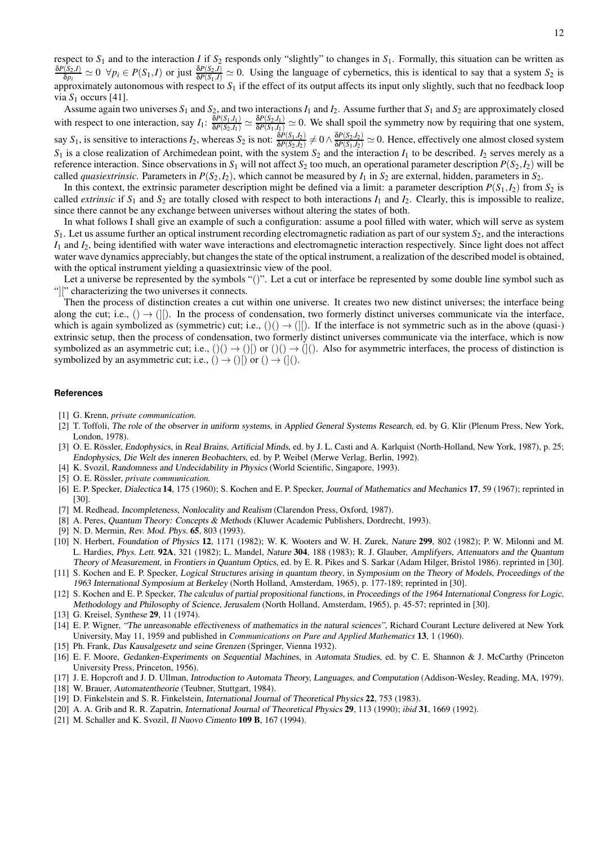respect to *S*<sup>1</sup> and to the interaction *I* if *S*<sup>2</sup> responds only "slightly" to changes in *S*1. Formally, this situation can be written as δ*P*(*S*2,*I*)  $\frac{(S_2,I)}{\delta p_i} \simeq 0 \ \ \forall p_i \in P(S_1,I)$  or just  $\frac{\delta P(S_2,I)}{\delta P(S_1,I)} \simeq 0$ . Using the language of cybernetics, this is identical to say that a system  $S_2$  is approximately autonomous with respect to *S*<sup>1</sup> if the effect of its output affects its input only slightly, such that no feedback loop via  $S_1$  occurs [41].

Assume again two universes  $S_1$  and  $S_2$ , and two interactions  $I_1$  and  $I_2$ . Assume further that  $S_1$  and  $S_2$  are approximately closed with respect to one interaction, say  $I_1: \frac{\delta P(S_1,I_1)}{\delta P(S_2,I_1)} \simeq \frac{\delta P(S_2,I_1)}{\delta P(S_1,I_1)} \simeq 0$ . We shall spoil the symmetry now by requiring that one system, say  $S_1$ , is sensitive to interactions  $I_2$ , whereas  $S_2$  is not:  $\frac{\delta P(S_1,I_2)}{\delta P(S_2,I_2)} \neq 0 \wedge \frac{\delta P(S_2,I_2)}{\delta P(S_1,I_2)} \simeq 0$ . Hence, effectively one almost closed system  $S_1$  is a close realization of Archimedean point, with the system  $S_2$  and the interaction  $I_1$  to be described.  $I_2$  serves merely as a reference interaction. Since observations in  $S_1$  will not affect  $S_2$  too much, an operational parameter description  $P(S_2, I_2)$  will be

called *quasiextrinsic*. Parameters in  $P(S_2, I_2)$ , which cannot be measured by  $I_1$  in  $S_2$  are external, hidden, parameters in  $S_2$ . In this context, the extrinsic parameter description might be defined via a limit: a parameter description  $P(S_1, I_2)$  from  $S_2$  is called *extrinsic* if  $S_1$  and  $S_2$  are totally closed with respect to both interactions  $I_1$  and  $I_2$ . Clearly, this is impossible to realize, since there cannot be any exchange between universes without altering the states of both.

In what follows I shall give an example of such a configuration: assume a pool filled with water, which will serve as system *S*1. Let us assume further an optical instrument recording electromagnetic radiation as part of our system *S*2, and the interactions *I*<sup>1</sup> and *I*2, being identified with water wave interactions and electromagnetic interaction respectively. Since light does not affect water wave dynamics appreciably, but changes the state of the optical instrument, a realization of the described model is obtained, with the optical instrument yielding a quasiextrinsic view of the pool.

Let a universe be represented by the symbols "()". Let a cut or interface be represented by some double line symbol such as "][" characterizing the two universes it connects.

Then the process of distinction creates a cut within one universe. It creates two new distinct universes; the interface being along the cut; i.e.,  $(| \rangle \rightarrow |||)$ . In the process of condensation, two formerly distinct universes communicate via the interface, which is again symbolized as (symmetric) cut; i.e.,  $($ ) $() \rightarrow$  (||). If the interface is not symmetric such as in the above (quasi-) extrinsic setup, then the process of condensation, two formerly distinct universes communicate via the interface, which is now symbolized as an asymmetric cut; i.e.,  $(1) \rightarrow (1)$  or  $(1) \rightarrow (1)$ . Also for asymmetric interfaces, the process of distinction is symbolized by an asymmetric cut; i.e.,  $() \rightarrow ()$  or  $() \rightarrow ()$ .

#### **References**

- [1] G. Krenn, *private communication.*
- [2] T. Toffoli, The role of the observer in uniform systems, in Applied General Systems Research, ed. by G. Klir (Plenum Press, New York, London, 1978).
- [3] O. E. Rössler, Endophysics, in Real Brains, Artificial Minds, ed. by J. L. Casti and A. Karlquist (North-Holland, New York, 1987), p. 25; Endophysics, Die Welt des inneren Beobachters, ed. by P. Weibel (Merwe Verlag, Berlin, 1992).
- [4] K. Svozil, Randomness and Undecidability in Physics (World Scientific, Singapore, 1993).
- [5] O. E. Rössler, *private communication*.
- [6] E. P. Specker, Dialectica 14, 175 (1960); S. Kochen and E. P. Specker, Journal of Mathematics and Mechanics 17, 59 (1967); reprinted in [30].
- [7] M. Redhead, Incompleteness, Nonlocality and Realism (Clarendon Press, Oxford, 1987).
- [8] A. Peres, Quantum Theory: Concepts & Methods (Kluwer Academic Publishers, Dordrecht, 1993).
- [9] N. D. Mermin, Rev. Mod. Phys. 65, 803 (1993).
- [10] N. Herbert, Foundation of Physics 12, 1171 (1982); W. K. Wooters and W. H. Zurek, Nature 299, 802 (1982); P. W. Milonni and M. L. Hardies, Phys. Lett. 92A, 321 (1982); L. Mandel, Nature 304, 188 (1983); R. J. Glauber, Amplifyers, Attenuators and the Quantum Theory of Measurement, in Frontiers in Quantum Optics, ed. by E. R. Pikes and S. Sarkar (Adam Hilger, Bristol 1986). reprinted in [30].
- [11] S. Kochen and E. P. Specker, Logical Structures arising in quantum theory, in Symposium on the Theory of Models, Proceedings of the <sup>1963</sup> International Symposium at Berkeley (North Holland, Amsterdam, 1965), p. 177-189; reprinted in [30].
- [12] S. Kochen and E. P. Specker, The calculus of partial propositional functions, in Proceedings of the <sup>1964</sup> International Congress for Logic, Methodology and Philosophy of Science, Jerusalem (North Holland, Amsterdam, 1965), p. 45-57; reprinted in [30].
- [13] G. Kreisel, Synthese **29**, 11 (1974).
- [14] E. P. Wigner, "The unreasonable effectiveness of mathematics in the natural sciences", Richard Courant Lecture delivered at New York University, May 11, 1959 and published in *Communications on Pure and Applied Mathematics* 13, 1 (1960).
- [15] Ph. Frank, Das Kausalgesetz und seine Grenzen (Springer, Vienna 1932).
- [16] E. F. Moore, Gedanken-Experiments on Sequential Machines, in Automata Studies, ed. by C. E. Shannon & J. McCarthy (Princeton University Press, Princeton, 1956).
- [17] J. E. Hopcroft and J. D. Ullman, Introduction to Automata Theory, Languages, and Computation (Addison-Wesley, Reading, MA, 1979).
- [18] W. Brauer, Automatentheorie (Teubner, Stuttgart, 1984).
- [19] D. Finkelstein and S. R. Finkelstein, International Journal of Theoretical Physics 22, 753 (1983).
- [20] A. A. Grib and R. R. Zapatrin, International Journal of Theoretical Physics 29, 113 (1990); *ibid* 31, 1669 (1992).
- [21] M. Schaller and K. Svozil, *Il Nuovo Cimento* **109 B**, 167 (1994).